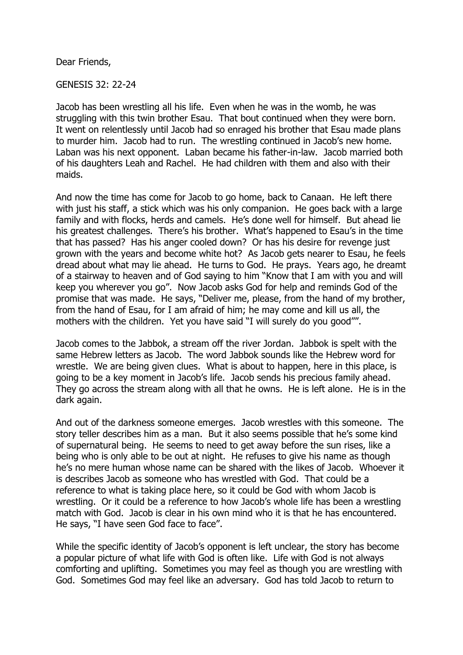Dear Friends,

GENESIS 32: 22-24

Jacob has been wrestling all his life. Even when he was in the womb, he was struggling with this twin brother Esau. That bout continued when they were born. It went on relentlessly until Jacob had so enraged his brother that Esau made plans to murder him. Jacob had to run. The wrestling continued in Jacob's new home. Laban was his next opponent. Laban became his father-in-law. Jacob married both of his daughters Leah and Rachel. He had children with them and also with their maids.

And now the time has come for Jacob to go home, back to Canaan. He left there with just his staff, a stick which was his only companion. He goes back with a large family and with flocks, herds and camels. He's done well for himself. But ahead lie his greatest challenges. There's his brother. What's happened to Esau's in the time that has passed? Has his anger cooled down? Or has his desire for revenge just grown with the years and become white hot? As Jacob gets nearer to Esau, he feels dread about what may lie ahead. He turns to God. He prays. Years ago, he dreamt of a stairway to heaven and of God saying to him "Know that I am with you and will keep you wherever you go". Now Jacob asks God for help and reminds God of the promise that was made. He says, "Deliver me, please, from the hand of my brother, from the hand of Esau, for I am afraid of him; he may come and kill us all, the mothers with the children. Yet you have said "I will surely do you good"".

Jacob comes to the Jabbok, a stream off the river Jordan. Jabbok is spelt with the same Hebrew letters as Jacob. The word Jabbok sounds like the Hebrew word for wrestle. We are being given clues. What is about to happen, here in this place, is going to be a key moment in Jacob's life. Jacob sends his precious family ahead. They go across the stream along with all that he owns. He is left alone. He is in the dark again.

And out of the darkness someone emerges. Jacob wrestles with this someone. The story teller describes him as a man. But it also seems possible that he's some kind of supernatural being. He seems to need to get away before the sun rises, like a being who is only able to be out at night. He refuses to give his name as though he's no mere human whose name can be shared with the likes of Jacob. Whoever it is describes Jacob as someone who has wrestled with God. That could be a reference to what is taking place here, so it could be God with whom Jacob is wrestling. Or it could be a reference to how Jacob's whole life has been a wrestling match with God. Jacob is clear in his own mind who it is that he has encountered. He says, "I have seen God face to face".

While the specific identity of Jacob's opponent is left unclear, the story has become a popular picture of what life with God is often like. Life with God is not always comforting and uplifting. Sometimes you may feel as though you are wrestling with God. Sometimes God may feel like an adversary. God has told Jacob to return to